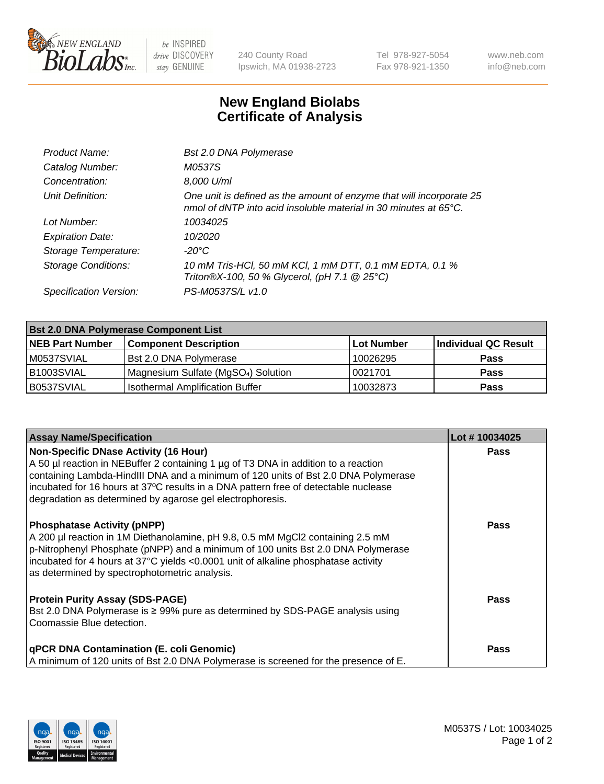

 $be$  INSPIRED drive DISCOVERY stay GENUINE

240 County Road Ipswich, MA 01938-2723 Tel 978-927-5054 Fax 978-921-1350 www.neb.com info@neb.com

## **New England Biolabs Certificate of Analysis**

| Product Name:              | <b>Bst 2.0 DNA Polymerase</b>                                                                                                            |
|----------------------------|------------------------------------------------------------------------------------------------------------------------------------------|
| Catalog Number:            | <i>M0537S</i>                                                                                                                            |
| Concentration:             | 8,000 U/ml                                                                                                                               |
| Unit Definition:           | One unit is defined as the amount of enzyme that will incorporate 25<br>nmol of dNTP into acid insoluble material in 30 minutes at 65°C. |
| Lot Number:                | 10034025                                                                                                                                 |
| <b>Expiration Date:</b>    | 10/2020                                                                                                                                  |
| Storage Temperature:       | $-20^{\circ}$ C                                                                                                                          |
| <b>Storage Conditions:</b> | 10 mM Tris-HCl, 50 mM KCl, 1 mM DTT, 0.1 mM EDTA, 0.1 %<br>Triton®X-100, 50 % Glycerol, (pH 7.1 @ 25°C)                                  |
| Specification Version:     | PS-M0537S/L v1.0                                                                                                                         |

| <b>Bst 2.0 DNA Polymerase Component List</b> |                                                 |            |                      |  |  |
|----------------------------------------------|-------------------------------------------------|------------|----------------------|--|--|
| <b>NEB Part Number</b>                       | <b>Component Description</b>                    | Lot Number | Individual QC Result |  |  |
| M0537SVIAL                                   | Bst 2.0 DNA Polymerase                          | 10026295   | <b>Pass</b>          |  |  |
| B <sub>1003</sub> SVIAL                      | Magnesium Sulfate (MgSO <sub>4</sub> ) Solution | 10021701   | <b>Pass</b>          |  |  |
| B0537SVIAL                                   | <b>Isothermal Amplification Buffer</b>          | 10032873   | <b>Pass</b>          |  |  |

| <b>Assay Name/Specification</b>                                                                                                                                                                                                                                                                                                                                              | Lot #10034025 |
|------------------------------------------------------------------------------------------------------------------------------------------------------------------------------------------------------------------------------------------------------------------------------------------------------------------------------------------------------------------------------|---------------|
| <b>Non-Specific DNase Activity (16 Hour)</b><br>A 50 µl reaction in NEBuffer 2 containing 1 µg of T3 DNA in addition to a reaction<br>containing Lambda-HindIII DNA and a minimum of 120 units of Bst 2.0 DNA Polymerase<br>incubated for 16 hours at 37°C results in a DNA pattern free of detectable nuclease<br>degradation as determined by agarose gel electrophoresis. | <b>Pass</b>   |
| <b>Phosphatase Activity (pNPP)</b><br>A 200 µl reaction in 1M Diethanolamine, pH 9.8, 0.5 mM MgCl2 containing 2.5 mM<br>p-Nitrophenyl Phosphate (pNPP) and a minimum of 100 units Bst 2.0 DNA Polymerase<br>incubated for 4 hours at 37°C yields <0.0001 unit of alkaline phosphatase activity<br>as determined by spectrophotometric analysis.                              | Pass          |
| <b>Protein Purity Assay (SDS-PAGE)</b><br>Bst 2.0 DNA Polymerase is ≥ 99% pure as determined by SDS-PAGE analysis using<br>Coomassie Blue detection.                                                                                                                                                                                                                         | Pass          |
| <b>qPCR DNA Contamination (E. coli Genomic)</b><br>A minimum of 120 units of Bst 2.0 DNA Polymerase is screened for the presence of E.                                                                                                                                                                                                                                       | Pass          |